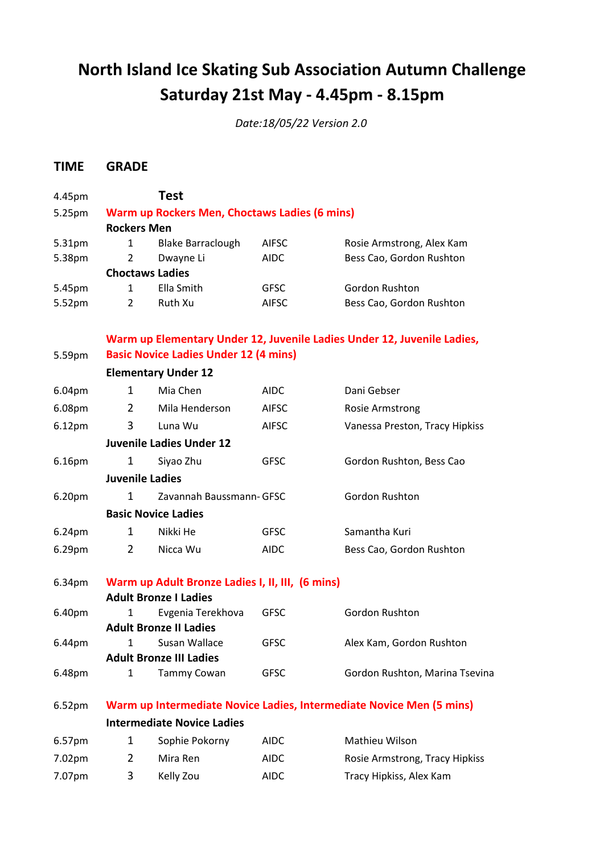## **North Island Ice Skating Sub Association Autumn Challenge Saturday 21st May - 4.45pm - 8.15pm**

*Date:18/05/22 Version 2.0*

## **TIME GRADE**

| 4.45pm             |                                                                      | <b>Test</b>                                   |              |                                                                         |  |  |  |
|--------------------|----------------------------------------------------------------------|-----------------------------------------------|--------------|-------------------------------------------------------------------------|--|--|--|
| 5.25pm             |                                                                      | Warm up Rockers Men, Choctaws Ladies (6 mins) |              |                                                                         |  |  |  |
|                    | <b>Rockers Men</b>                                                   |                                               |              |                                                                         |  |  |  |
| 5.31pm             | 1                                                                    | <b>Blake Barraclough</b>                      | AIFSC        | Rosie Armstrong, Alex Kam                                               |  |  |  |
| 5.38pm             | $\overline{2}$                                                       | Dwayne Li                                     | <b>AIDC</b>  | Bess Cao, Gordon Rushton                                                |  |  |  |
|                    |                                                                      | <b>Choctaws Ladies</b>                        |              |                                                                         |  |  |  |
| 5.45pm             | $\mathbf{1}$                                                         | Ella Smith                                    | <b>GFSC</b>  | Gordon Rushton                                                          |  |  |  |
| 5.52pm             | $\overline{2}$                                                       | Ruth Xu                                       | <b>AIFSC</b> | Bess Cao, Gordon Rushton                                                |  |  |  |
|                    |                                                                      |                                               |              | Warm up Elementary Under 12, Juvenile Ladies Under 12, Juvenile Ladies, |  |  |  |
| 5.59pm             | <b>Basic Novice Ladies Under 12 (4 mins)</b>                         |                                               |              |                                                                         |  |  |  |
|                    |                                                                      | <b>Elementary Under 12</b>                    |              |                                                                         |  |  |  |
| 6.04pm             | 1                                                                    | Mia Chen                                      | <b>AIDC</b>  | Dani Gebser                                                             |  |  |  |
| 6.08pm             | $\mathbf{2}$                                                         | Mila Henderson                                | <b>AIFSC</b> | <b>Rosie Armstrong</b>                                                  |  |  |  |
| 6.12 <sub>pm</sub> | 3                                                                    | Luna Wu                                       | <b>AIFSC</b> | Vanessa Preston, Tracy Hipkiss                                          |  |  |  |
|                    | <b>Juvenile Ladies Under 12</b>                                      |                                               |              |                                                                         |  |  |  |
| 6.16pm             | 1                                                                    | Siyao Zhu                                     | <b>GFSC</b>  | Gordon Rushton, Bess Cao                                                |  |  |  |
|                    | <b>Juvenile Ladies</b>                                               |                                               |              |                                                                         |  |  |  |
| 6.20pm             | 1                                                                    | Zavannah Baussmann- GFSC                      |              | Gordon Rushton                                                          |  |  |  |
|                    | <b>Basic Novice Ladies</b>                                           |                                               |              |                                                                         |  |  |  |
| 6.24pm             | $\mathbf{1}$                                                         | Nikki He                                      | <b>GFSC</b>  | Samantha Kuri                                                           |  |  |  |
| 6.29pm             | $\overline{2}$                                                       | Nicca Wu                                      | <b>AIDC</b>  | Bess Cao, Gordon Rushton                                                |  |  |  |
| 6.34pm             | Warm up Adult Bronze Ladies I, II, III, (6 mins)                     |                                               |              |                                                                         |  |  |  |
|                    | <b>Adult Bronze I Ladies</b>                                         |                                               |              |                                                                         |  |  |  |
| 6.40pm             | 1                                                                    | Evgenia Terekhova                             | <b>GFSC</b>  | Gordon Rushton                                                          |  |  |  |
|                    |                                                                      | <b>Adult Bronze II Ladies</b>                 |              |                                                                         |  |  |  |
| 6.44pm             |                                                                      | Susan Wallace                                 | <b>GFSC</b>  | Alex Kam, Gordon Rushton                                                |  |  |  |
|                    | <b>Adult Bronze III Ladies</b>                                       |                                               |              |                                                                         |  |  |  |
| 6.48pm             | $\mathbf{1}$                                                         | Tammy Cowan                                   | <b>GFSC</b>  | Gordon Rushton, Marina Tsevina                                          |  |  |  |
| 6.52pm             | Warm up Intermediate Novice Ladies, Intermediate Novice Men (5 mins) |                                               |              |                                                                         |  |  |  |
|                    | <b>Intermediate Novice Ladies</b>                                    |                                               |              |                                                                         |  |  |  |
| 6.57pm             | 1                                                                    | Sophie Pokorny                                | <b>AIDC</b>  | Mathieu Wilson                                                          |  |  |  |
| 7.02pm             | $\mathbf{2}$                                                         | Mira Ren                                      | <b>AIDC</b>  | Rosie Armstrong, Tracy Hipkiss                                          |  |  |  |
| 7.07pm             | 3                                                                    | Kelly Zou                                     | <b>AIDC</b>  | Tracy Hipkiss, Alex Kam                                                 |  |  |  |